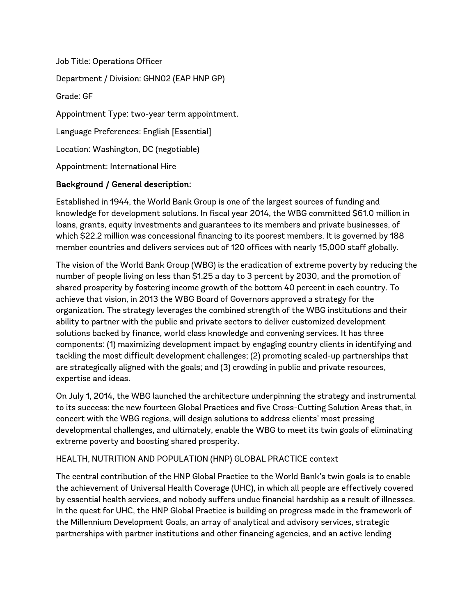Job Title: Operations Officer Department / Division: GHN02 (EAP HNP GP) Grade: GF Appointment Type: two-year term appointment. Language Preferences: English [Essential] Location: Washington, DC (negotiable) Appointment: International Hire

# Background / General description:

Established in 1944, the World Bank Group is one of the largest sources of funding and knowledge for development solutions. In fiscal year 2014, the WBG committed \$61.0 million in loans, grants, equity investments and guarantees to its members and private businesses, of which \$22.2 million was concessional financing to its poorest members. It is governed by 188 member countries and delivers services out of 120 offices with nearly 15,000 staff globally.

The vision of the World Bank Group (WBG) is the eradication of extreme poverty by reducing the number of people living on less than \$1.25 a day to 3 percent by 2030, and the promotion of shared prosperity by fostering income growth of the bottom 40 percent in each country. To achieve that vision, in 2013 the WBG Board of Governors approved a strategy for the organization. The strategy leverages the combined strength of the WBG institutions and their ability to partner with the public and private sectors to deliver customized development solutions backed by finance, world class knowledge and convening services. It has three components: (1) maximizing development impact by engaging country clients in identifying and tackling the most difficult development challenges; (2) promoting scaled-up partnerships that are strategically aligned with the goals; and (3) crowding in public and private resources, expertise and ideas.

On July 1, 2014, the WBG launched the architecture underpinning the strategy and instrumental to its success: the new fourteen Global Practices and five Cross-Cutting Solution Areas that, in concert with the WBG regions, will design solutions to address clients' most pressing developmental challenges, and ultimately, enable the WBG to meet its twin goals of eliminating extreme poverty and boosting shared prosperity.

#### HEALTH, NUTRITION AND POPULATION (HNP) GLOBAL PRACTICE context

The central contribution of the HNP Global Practice to the World Bank's twin goals is to enable the achievement of Universal Health Coverage (UHC), in which all people are effectively covered by essential health services, and nobody suffers undue financial hardship as a result of illnesses. In the quest for UHC, the HNP Global Practice is building on progress made in the framework of the Millennium Development Goals, an array of analytical and advisory services, strategic partnerships with partner institutions and other financing agencies, and an active lending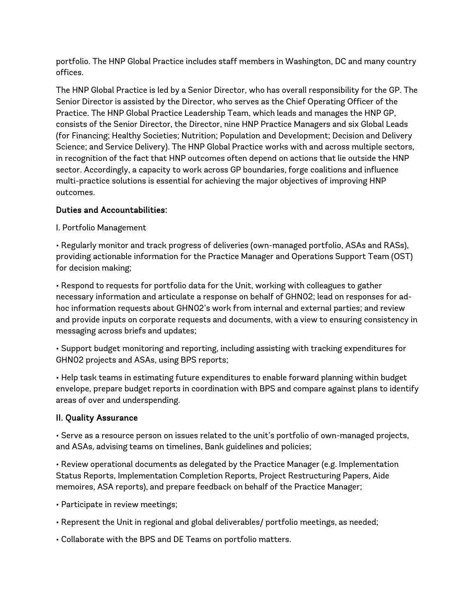portfolio. The HNP Global Practice includes staff members in Washington, DC and many country offices.

The HNP Global Practice is led by a Senior Director, who has overall responsibility for the GP. The Senior Director is assisted by the Director, who serves as the Chief Operating Officer of the Practice. The HNP Global Practice Leadership Team, which leads and manages the HNP GP, consists of the Senior Director, the Director, nine HNP Practice Managers and six Global Leads (for Financing; Healthy Societies; Nutrition; Population and Development; Decision and Delivery Science; and Service Delivery). The HNP Global Practice works with and across multiple sectors, in recognition of the fact that HNP outcomes often depend on actions that lie outside the HNP sector. Accordingly, a capacity to work across GP boundaries, forge coalitions and influence multi-practice solutions is essential for achieving the major objectives of improving HNP outcomes.

# Duties and Accountabilities:

I. Portfolio Management

• Regularly monitor and track progress of deliveries (own-managed portfolio, ASAs and RASs), providing actionable information for the Practice Manager and Operations Support Team (OST) for decision making;

• Respond to requests for portfolio data for the Unit, working with colleagues to gather necessary information and articulate a response on behalf of GHN02; lead on responses for adhoc information requests about GHN02's work from internal and external parties; and review and provide inputs on corporate requests and documents, with a view to ensuring consistency in messaging across briefs and updates;

• Support budget monitoring and reporting, including assisting with tracking expenditures for GHN02 projects and ASAs, using BPS reports;

• Help task teams in estimating future expenditures to enable forward planning within budget envelope, prepare budget reports in coordination with BPS and compare against plans to identify areas of over and underspending.

# II. Quality Assurance

• Serve as a resource person on issues related to the unit's portfolio of own-managed projects, and ASAs, advising teams on timelines, Bank guidelines and policies;

• Review operational documents as delegated by the Practice Manager (e.g. Implementation Status Reports, Implementation Completion Reports, Project Restructuring Papers, Aide memoires, ASA reports), and prepare feedback on behalf of the Practice Manager;

• Participate in review meetings;

• Represent the Unit in regional and global deliverables/ portfolio meetings, as needed;

• Collaborate with the BPS and DE Teams on portfolio matters.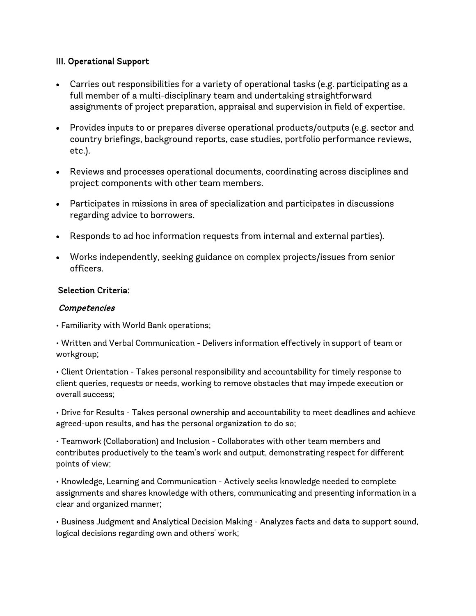### III. Operational Support

- Carries out responsibilities for a variety of operational tasks (e.g. participating as a full member of a multi-disciplinary team and undertaking straightforward assignments of project preparation, appraisal and supervision in field of expertise.
- Provides inputs to or prepares diverse operational products/outputs (e.g. sector and country briefings, background reports, case studies, portfolio performance reviews, etc.).
- Reviews and processes operational documents, coordinating across disciplines and project components with other team members.
- Participates in missions in area of specialization and participates in discussions regarding advice to borrowers.
- Responds to ad hoc information requests from internal and external parties).
- Works independently, seeking guidance on complex projects/issues from senior officers.

#### Selection Criteria:

#### Competencies

• Familiarity with World Bank operations;

• Written and Verbal Communication - Delivers information effectively in support of team or workgroup;

• Client Orientation - Takes personal responsibility and accountability for timely response to client queries, requests or needs, working to remove obstacles that may impede execution or overall success;

• Drive for Results - Takes personal ownership and accountability to meet deadlines and achieve agreed-upon results, and has the personal organization to do so;

• Teamwork (Collaboration) and Inclusion - Collaborates with other team members and contributes productively to the team's work and output, demonstrating respect for different points of view;

• Knowledge, Learning and Communication - Actively seeks knowledge needed to complete assignments and shares knowledge with others, communicating and presenting information in a clear and organized manner;

• Business Judgment and Analytical Decision Making - Analyzes facts and data to support sound, logical decisions regarding own and others' work;